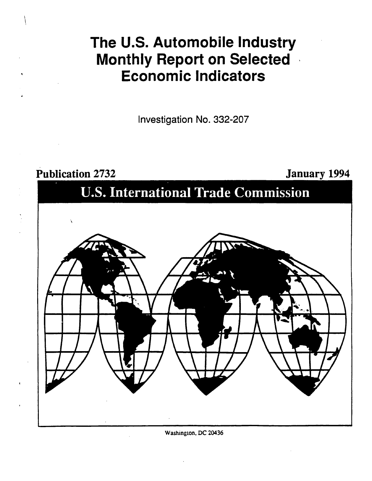# The U.S. Automobile Industry Monthly Report on Selected Economic Indicators

Investigation No. 332-207



Washington, DC 20436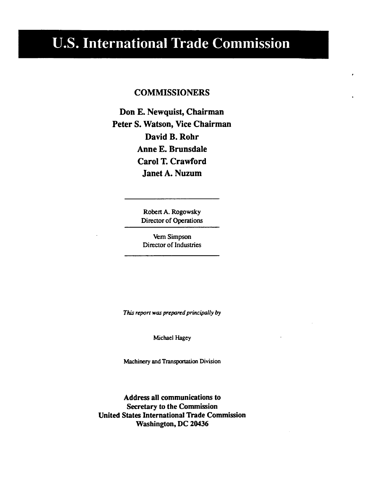# U.S. International Trade Commission

# COMMISSIONERS

Don E. Newquist, Chairman Peter S. Watson, Vice Chairman David B. Rohr Anne E. Brunsdale Carol T. Crawford Janet A. Nuzum

> Robert A. Rogowsky Director of Operations

Vern Simpson Director of Industries

*This report was prepared principally by* 

Michael Hagey

Machinery and Transportation Division

Address all communications to Secretary to the Commission United States International Trade Commission Washington, DC 20436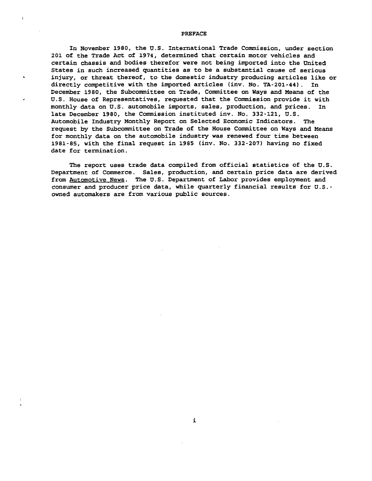#### PREFACE

In November 1980, the U.S. International Trade Commission, under section 201 of the Trade Act of 1974, determined that certain motor vehicles and certain chassis and bodies therefor were not being imported into the United States in such increased quantities as to be a substantial cause of serious injury, or threat thereof, to the domestic industry producing articles like or directly competitive with the imported articles (inv. No. TA-201-44). In December 1980, the Subcommittee on Trade, Committee on Ways and Means of the U.S. House of Representatives, requested that the Commission provide it with monthly data on U.S. automobile imports, sales, production, and prices. In late December 1980, the Commission instituted inv. No. 332-121, U.S. Automobile Industry Monthly Report on Selected Economic Indicators. The request by the Subcommittee on Trade of the House Conunittee on Ways and Means for monthly data on the automobile industry was renewed four time between 1981-85, with the final request in 1985 (inv. No. 332-207) having no fixed date for termination.

The report uses trade data compiled from official statistics of the U.S. Department of Commerce. Sales, production, and certain price data are derived from Automotive News. The U.S. Department of Labor provides employment and consumer and producer price data, while quarterly financial results for U.S. owned automakers are from various public sources.

i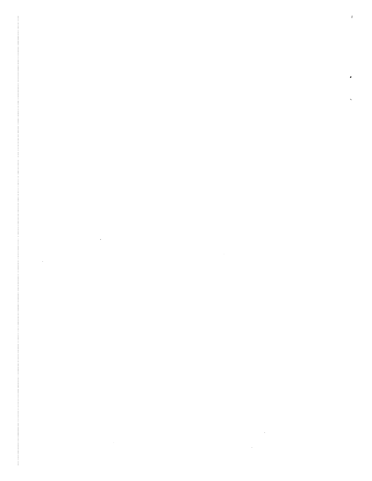$\label{eq:2.1} \frac{1}{\sqrt{2}}\int_{\mathbb{R}^3}\frac{1}{\sqrt{2}}\left(\frac{1}{\sqrt{2}}\right)^2\frac{1}{\sqrt{2}}\left(\frac{1}{\sqrt{2}}\right)^2\frac{1}{\sqrt{2}}\left(\frac{1}{\sqrt{2}}\right)^2\frac{1}{\sqrt{2}}\left(\frac{1}{\sqrt{2}}\right)^2\frac{1}{\sqrt{2}}\left(\frac{1}{\sqrt{2}}\right)^2.$  $\mathcal{L}_{\text{max}}$  and  $\mathcal{L}_{\text{max}}$ 

 $\label{eq:2.1} \mathcal{L}(\mathcal{L}^{\text{max}}_{\mathcal{L}}(\mathcal{L}^{\text{max}}_{\mathcal{L}})) \leq \mathcal{L}(\mathcal{L}^{\text{max}}_{\mathcal{L}}(\mathcal{L}^{\text{max}}_{\mathcal{L}}))$ 

 $\bar{t}$ 

 $\sim$   $\sim$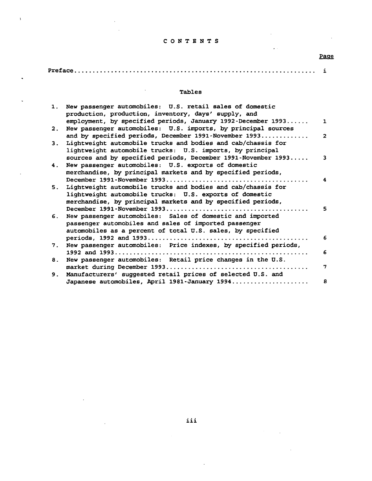## CONTENTS

 $\bar{1}$ 

 $\ddot{\phantom{a}}$ 

 $\ddot{\phantom{0}}$ 

 $\bar{\mathcal{A}}$ 

 $\ddot{\phantom{a}}$ 

 $\ddot{\phantom{a}}$ 

### Page

 $\mathbf{r}$  .

 $\sim$ 

 $\mathcal{A}^{\mathcal{A}}$ 

 $\overline{\phantom{a}}$ 

 $\ddot{\phantom{a}}$ 

#### Tables

| New passenger automobiles: U.S. retail sales of domestic        |                                                                                                                                                                                                                                                                                                                                                                                                                                           |
|-----------------------------------------------------------------|-------------------------------------------------------------------------------------------------------------------------------------------------------------------------------------------------------------------------------------------------------------------------------------------------------------------------------------------------------------------------------------------------------------------------------------------|
|                                                                 |                                                                                                                                                                                                                                                                                                                                                                                                                                           |
| employment, by specified periods, January 1992-December 1993    | $\mathbf{1}$                                                                                                                                                                                                                                                                                                                                                                                                                              |
|                                                                 |                                                                                                                                                                                                                                                                                                                                                                                                                                           |
|                                                                 | $\overline{2}$                                                                                                                                                                                                                                                                                                                                                                                                                            |
|                                                                 |                                                                                                                                                                                                                                                                                                                                                                                                                                           |
|                                                                 |                                                                                                                                                                                                                                                                                                                                                                                                                                           |
| sources and by specified periods, December 1991-November 1993   | 3                                                                                                                                                                                                                                                                                                                                                                                                                                         |
| New passenger automobiles: U.S. exports of domestic             |                                                                                                                                                                                                                                                                                                                                                                                                                                           |
| merchandise, by principal markets and by specified periods,     |                                                                                                                                                                                                                                                                                                                                                                                                                                           |
|                                                                 | 4                                                                                                                                                                                                                                                                                                                                                                                                                                         |
| Lightweight automobile trucks and bodies and cab/chassis for    |                                                                                                                                                                                                                                                                                                                                                                                                                                           |
| lightweight automobile trucks: U.S. exports of domestic         |                                                                                                                                                                                                                                                                                                                                                                                                                                           |
| merchandise, by principal markets and by specified periods,     |                                                                                                                                                                                                                                                                                                                                                                                                                                           |
|                                                                 | 5                                                                                                                                                                                                                                                                                                                                                                                                                                         |
| New passenger automobiles: Sales of domestic and imported       |                                                                                                                                                                                                                                                                                                                                                                                                                                           |
| passenger automobiles and sales of imported passenger           |                                                                                                                                                                                                                                                                                                                                                                                                                                           |
| automobiles as a percent of total U.S. sales, by specified      |                                                                                                                                                                                                                                                                                                                                                                                                                                           |
|                                                                 | 6                                                                                                                                                                                                                                                                                                                                                                                                                                         |
| New passenger automobiles: Price indexes, by specified periods, |                                                                                                                                                                                                                                                                                                                                                                                                                                           |
|                                                                 | 6                                                                                                                                                                                                                                                                                                                                                                                                                                         |
|                                                                 |                                                                                                                                                                                                                                                                                                                                                                                                                                           |
|                                                                 | 7                                                                                                                                                                                                                                                                                                                                                                                                                                         |
|                                                                 |                                                                                                                                                                                                                                                                                                                                                                                                                                           |
| Japanese automobiles, April 1981-January 1994                   | 8                                                                                                                                                                                                                                                                                                                                                                                                                                         |
|                                                                 | production, production, inventory, days' supply, and<br>New passenger automobiles: U.S. imports, by principal sources<br>and by specified periods, December 1991-November 1993<br>Lightweight automobile trucks and bodies and cab/chassis for<br>lightweight automobile trucks: U.S. imports, by principal<br>New passenger automobiles: Retail price changes in the U.S.<br>Manufacturers' suggested retail prices of selected U.S. and |

 $\ddot{\phantom{a}}$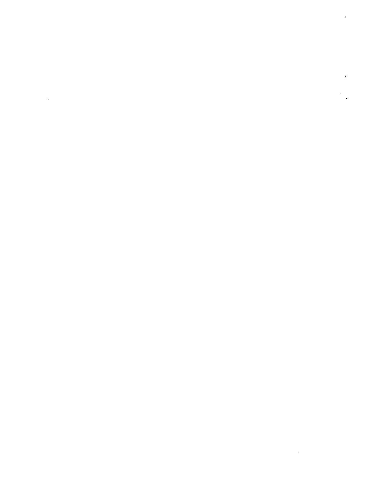$\label{eq:2} \frac{1}{\sqrt{2}}\sum_{\mathbf{k},\mathbf{k}'}\frac{1}{\sqrt{2\pi}}\sum_{\mathbf{k},\mathbf{k}'}\frac{1}{\sqrt{2\pi}}\sum_{\mathbf{k},\mathbf{k}'}\frac{1}{\sqrt{2\pi}}\sum_{\mathbf{k},\mathbf{k}'}\frac{1}{\sqrt{2\pi}}\sum_{\mathbf{k},\mathbf{k}'}\frac{1}{\sqrt{2\pi}}\sum_{\mathbf{k},\mathbf{k}'}\frac{1}{\sqrt{2\pi}}\sum_{\mathbf{k},\mathbf{k}'}\frac{1}{\sqrt{2\pi}}\sum_{\mathbf{k},\mathbf{k}'}\frac{1}{\sqrt$  $\mathcal{A}^{\text{max}}_{\text{max}}$ 

 $\hat{\mathbf{r}}$ 

 $\mathcal{L}^{(1)}$  and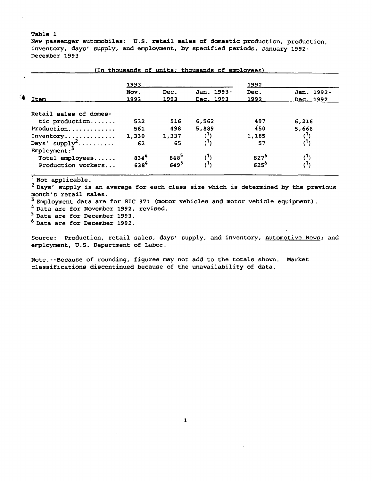New passenger automobiles: U.S. retail sales of domestic production, production, inventory, days' supply, and employment, by specified periods, January 1992- December 1993

|                                                     | 1993      |           |              | 1992      |            |  |  |
|-----------------------------------------------------|-----------|-----------|--------------|-----------|------------|--|--|
|                                                     | Nov.      | Dec.      | Jan. 1993-   | Dec.      | Jan. 1992- |  |  |
| Item                                                | 1993      | 1993      | Dec. 1993    | 1992      | Dec. 1992  |  |  |
| Retail sales of domes-                              |           |           |              |           |            |  |  |
| tic production                                      | 532       | 516       | 6,562        | 497       | 6,216      |  |  |
| Production                                          | 561       | 498       | 5,889        | 450       | 5,666      |  |  |
| Inventory                                           | 1,330     | 1,337     | $^{\rm (1)}$ | 1,185     |            |  |  |
| Days' $\text{supply}^2$<br>Employment: <sup>3</sup> | 62        | 65        |              | 57        |            |  |  |
|                                                     |           |           |              |           |            |  |  |
| Total employees                                     | $834^{4}$ | $848^{5}$ |              | $827^{6}$ |            |  |  |
| Production workers                                  | $638^{4}$ | $649^{5}$ | (1)          | $625^{6}$ |            |  |  |

(In thousands of units; thousands of employees)

1Not applicable.<br><sup>2</sup> Days' supply is an average for each class size which is determined by the previous month's retail sales.

<sup>3</sup> Employment data are for SIC 371 (motor vehicles and motor vehicle equipment).<br><sup>4</sup> Data are for November 1992, revised.

5 Data are for December 1993.

6 Data are for December 1992.

Source: Production, retail sales, days' supply, and inventory, Automotive News; and employment, U.S. Department of Labor.

Note.--Because of rounding, figures may not add to the totals shown. Market classifications discontinued because of the unavailability of data.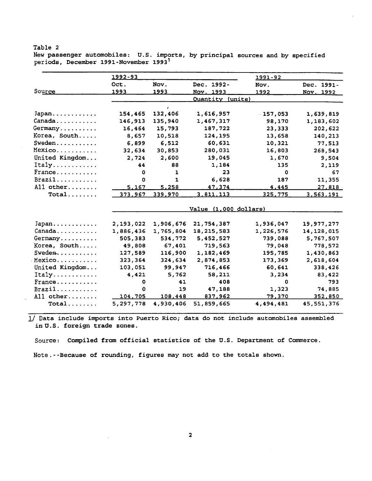New passenger automobiles: U.S. imports, by principal sources and by specified periods, December 1991-November 1993<sup>1</sup>

|                               | 1992-93              |           |                       | 1991-92     |                       |  |  |
|-------------------------------|----------------------|-----------|-----------------------|-------------|-----------------------|--|--|
|                               | Oct.                 | Nov.      | Dec. 1992-            | Nov.        | Dec. 1991-            |  |  |
| So <u>urce</u>                | 1993                 | 1993      | Nov. 1993             | 1992        | Nov. 1992             |  |  |
|                               |                      |           | Quantity (units)      |             |                       |  |  |
|                               |                      |           |                       |             |                       |  |  |
| Japan                         | 154,465              | 132,406   | 1,616,957             | 157,053     | 1,639,819             |  |  |
| Canada.                       | 146,913              | 135,940   | 1,467,317             | 98,170      | 1,183,602             |  |  |
| Germany                       | 16,464               | 15,793    | 187,722               | 23,333      | 202,622               |  |  |
| Korea, South                  | 8,657                | 10,518    | 124,195               | 13,658      | 140,213               |  |  |
| Sweden                        | 6,899                | 6,512     | 60,631                | 10,321      | 77,513                |  |  |
| Mexico                        | 32,634               | 30,853    | 280,031               | 16,803      | 268,543               |  |  |
| United Kingdom                | 2,724                | 2,600     | 19,045                | 1,670       | 9,504                 |  |  |
| $Italy \ldots \ldots$         | 44                   | 88        | 1,184                 | 135         | 2,119                 |  |  |
| France                        | $\mathbf 0$          | 1         | 23                    | $\mathbf 0$ | 67                    |  |  |
| $Brazil$                      | 0                    | 1         | 6,628                 | 187         | 11,355                |  |  |
| All other                     | <u>5,167</u>         | 5,258     | 47,374                | 4,445       | <u>27,818</u>         |  |  |
| $Total$                       | 373,967              | 339,970   | <u>3,811,113</u>      | 325,775     | <u>3,563,191</u>      |  |  |
|                               |                      |           | Value (1,000 dollars) |             |                       |  |  |
| $Japan \ldots \ldots \ldots$  | 2,193,022            | 1,906,676 | 21,754,387            | 1,936,047   | 19,977,277            |  |  |
| Canada                        | 1,886,436            | 1,765,804 | 18,215,583            | 1,226,576   | 14, 128, 015          |  |  |
| Germany                       | 505,383              | 534,772   | 5,452,527             | 739,088     | 5,767,507             |  |  |
| Korea, South                  | 49,808               | 67,401    | 719,563               | 79,048      | 778,572               |  |  |
| $S$ weden                     | 127,589              | 116,900   | 1,182,469             | 195,785     | 1,430,863             |  |  |
| Mexico                        | 323,364              | 324,634   | 2,874,853             | 173,369     | 2,618,604             |  |  |
| United Kingdom                | 103,051              | 99,947    | 716,466               | 60,641      | 338,426               |  |  |
| $Italy \ldots$                | 4,421                | 5,762     | 58,211                | 3,234       | 83,422                |  |  |
| $France \ldots \ldots \ldots$ | 0                    | 41        | 408                   | 0           | 793                   |  |  |
| Brazil                        | 0                    | 19        | 47,188                | 1,323       | 74,885                |  |  |
| All other                     |                      | 108,448   | 837,962               | 79,370      |                       |  |  |
| $Total$                       | 104,705<br>5,297,778 | 4,930,406 |                       | 4,494,481   | 352,850<br>45,551,376 |  |  |

1/ Data include imports into Puerto Rico; data do not include automobiles assembled in U.S. foreign trade zones.

Source: Compiled from official statistics of the U.S. Department of Commerce.

Note.--Because of rounding, figures may not add to the totals shown.

2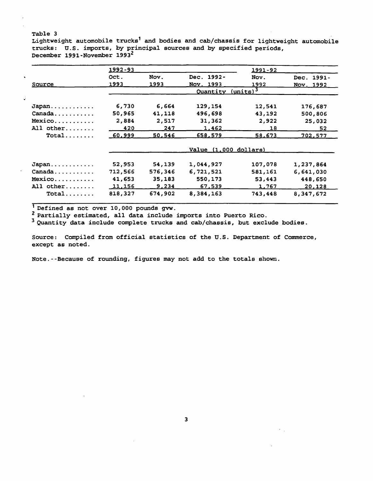. :

Lightweight automobile  $trucks<sup>1</sup>$  and bodies and cab/chassis for lightweight automobile trucks: U.S. imports, by principal sources and by specified periods, December 1991-November 1993<sup>2</sup>

|           | 1992-93               |         |            | 1991-92    |            |  |  |
|-----------|-----------------------|---------|------------|------------|------------|--|--|
|           | Oct.                  | Nov.    | Dec. 1992- | Nov.       | Dec. 1991- |  |  |
| Source    | 1993                  | 1993    | Nov. 1993  | 1992       | Nov. 1992  |  |  |
|           |                       |         | Ouantity   | $(mits)^3$ |            |  |  |
| Japan     | 6,730                 | 6,664   | 129,154    | 12,541     | 176,687    |  |  |
| Canada    | 50,965                | 41,118  | 496,698    | 43,192     | 500,806    |  |  |
| Mexico    | 2,884                 | 2,517   | 31,362     | 2,922      | 25,032     |  |  |
| All other | 420                   | 247     | 1,462      | 18         | 52         |  |  |
| $Total$   | 60,999                | 50,546  | 658,579    | 58,673     | 702,577    |  |  |
|           | Value (1,000 dollars) |         |            |            |            |  |  |
| Japan     | 52,953                | 54,139  | 1,044,927  | 107,078    | 1,237,864  |  |  |
| Canada    | 712,566               | 576,346 | 6,721,521  | 581,161    | 6,641,030  |  |  |
| $Mexico$  | 41,653                | 35,183  | 550,173    | 53,443     | 448,650    |  |  |
| All other | 11,156                | 9,234   | 67,539     | 1,767      | 20,128     |  |  |
| $Total$   | 818,327               | 674,902 | 8,384,163  | 743,448    | 8,347,672  |  |  |

1Defined as not over 10,000 pounds gvw.<br>
<sup>2</sup> Partially estimated, all data include imports into Puerto Rico.

<sup>3</sup> Quantity data include complete trucks and cab/chassis, but exclude bodies.

Source: Compiled from official statistics of the U.S. Department of Commerce, except as noted.

Note.--Because of rounding, figures may not add to the totals shown.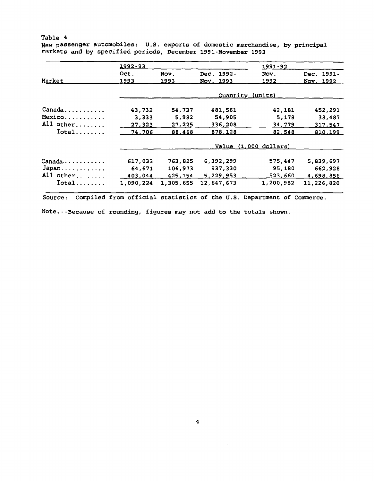New passenger automobiles: U.S. exports of domestic merchandise, by principal markets and by specified periods, December 1991-November 1993

|           | 1992-93               |           |            | <u> 1991-92</u> |                  |  |  |  |
|-----------|-----------------------|-----------|------------|-----------------|------------------|--|--|--|
|           | Oct.                  | Nov.      | Dec. 1992- | Nov.            | Dec. 1991-       |  |  |  |
| Market    | 1993                  | 1993      | Nov. 1993  | 1992            | <u>Nov. 1992</u> |  |  |  |
|           | Quantity (units)      |           |            |                 |                  |  |  |  |
| Canada    | 43,732                | 54,737    | 481,561    | 42,181          | 452,291          |  |  |  |
| Mexico    | 3,333                 | 5,982     | 54,905     | 5,178           | 38,487           |  |  |  |
| All other | 27,323                | 27,225    | 336,208    | 34,779          | 317,547          |  |  |  |
| $Total$   | 74,706                | 88,468    | 878,128    | 82,548          | 810,199          |  |  |  |
|           | Value (1,000 dollars) |           |            |                 |                  |  |  |  |
| Canada    | 617,033               | 763,825   | 6,392,299  | 575,447         | 5,839,697        |  |  |  |
| Japan     | 64,671                | 106,973   | 937,330    | 95,180          | 662,928          |  |  |  |
| All other | 403,044               | 425,154   | 5,229,953  | <u>523,660</u>  | 4,698,856        |  |  |  |
| $Total$   | 1,090,224             | 1,305,655 | 12,647,673 | 1,200,982       | 11,226,820       |  |  |  |
|           |                       |           |            |                 |                  |  |  |  |

Source: Compiled from official statistics of the U.S. Department of Commerce.

 $\bar{z}$ 

 $\mathbb{R}^2$ 

 $\mathbb{Z}$ 

Note. --Because of rounding, figures may not add to the totals shown.

 $\Delta \phi$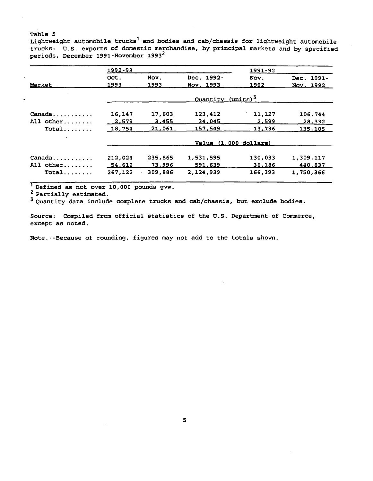Lightweight automobile trucks $^{\rm 1}$  and bodies and cab/chassis for lightweight automobile trucks: U.S. exports of domestic merchandise, by principal markets and by specified periods, December 1991-November 19932

|                          | 1992-93 |         |                               | 1991-92 |            |
|--------------------------|---------|---------|-------------------------------|---------|------------|
| $\overline{\phantom{a}}$ | Oct.    | Nov.    | Dec. 1992-                    | Nov.    | Dec. 1991- |
| Market                   | 1993    | 1993    | Nov. 1993                     | 1992    | Nov. 1992  |
| لمی                      |         |         | Ouantity (units) <sup>3</sup> |         |            |
| Canada.                  | 16,147  | 17,603  | 123,412                       | 11,127  | 106,744    |
| All other                | 2,579   | 3,455   | 34,045                        | 2,599   | 28,332     |
| $Total$                  | 18,754  | 21,061  | 157,549                       | 13,736  | 135,105    |
|                          |         |         | Value (1,000 dollars)         |         |            |
| Canada.                  | 212,024 | 235,865 | 1,531,595                     | 130,033 | 1,309,117  |
| All other                | 54,612  | 73,996  | 591,639                       | 36,186  | 440,837    |
| $Total$                  | 267,122 | 309,886 | 2,124,939                     | 166,393 | 1,750,366  |

<sup>1</sup> Defined as not over 10,000 pounds gvw.<br><sup>2</sup> Partially estimated.

<sup>3</sup> Quantity data include complete trucks and cab/chassis, but exclude bodies.

Source: Compiled from official statistics of the U.S. Department of Commerce, except as noted.

Note.--Because of rounding, figures may not add to the totals shown.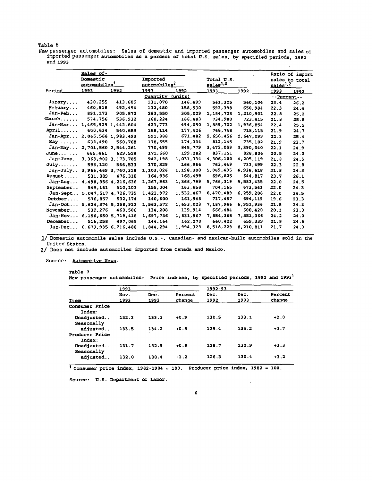New passenger automobiles: Sales of domestic and imported passenger automobiles and sales of imported passenger automobiles as a percent of total U.S. sales, by specified periods, 1992 and 1993

|                                  | Sales of-           |         |                          |           |                      |           |                      | Ratio of import |
|----------------------------------|---------------------|---------|--------------------------|-----------|----------------------|-----------|----------------------|-----------------|
|                                  | Domestic            |         | Imported                 |           | Total U.S.           |           |                      | sales to total  |
|                                  | <u>automobiles'</u> |         | automobiles <sup>2</sup> |           | Bales <sup>1,2</sup> |           | sales <sup>1,2</sup> |                 |
| Period.                          | 1993                | 1992    | 1993                     | 1992      | 1993                 | 1992      | <u> 1993 </u>        | 1992            |
|                                  |                     |         | Ouantity (units)         |           |                      |           | --Percent--          |                 |
| Janary                           | 430,255             | 413,605 | 131,070                  | 146,499   | 561,325              | 560,104   | 23.4                 | 26.2            |
| Febuary                          | 460,918             | 492,454 | 132,480                  | 158,530   | 593,398              | 650,984   | 22.3                 | 24.4            |
| $Jan-Peb$                        | 891,173             | 905,872 | 263,550                  | 305,029   | 1,154,723            | 1,210,901 | 22.8                 | 25.2            |
| March                            | 574,756             | 536,932 | 160,224                  | 186,483   | 734,980              | 723,415   | 21.8                 | 25.8            |
| Jan-Mar 1,465,929 1,442,804      |                     |         | 423,773                  | 494,050   | 1,889,702            | 1,936,854 | 22.4                 | 25.5            |
| April                            | 600,634             | 540,689 | 168,114                  | 177,426   | 768,748              | 718,115   | 21.9                 | 24.7            |
| Jan-Apr 2,066,568 1,983,493      |                     |         | 591,888                  | 671,482   | 2,658,456            | 2,647,099 | 22.3                 | 25.4            |
| $May. \ldots \ldots$             | 633,490             | 560,768 | 178,655                  | 174,334   | 812,145              | 735,102   | 21.9                 | 23.7            |
| Jan-May 2,701,560 2,544,261      |                     |         | 770,499                  | 845,779   | 3,472,059            | 3,390,040 | 22.1                 | 24.9            |
| June 665,461                     |                     | 629.524 | 171,660                  | 199,282   | 837,151              | 828,806   | 20.5                 | 24.0            |
| Jan-June 3, 363, 902 3, 173, 785 |                     |         | 942,198                  | 1,031,334 | 4,306,100            | 4,205,119 | 21.8                 | 24.5            |
| $July.$                          | 593,120             | 566.533 | 170,329                  | 166,966   | 763,449              | 733,499   | 22.3                 | 22.8            |
| Jan-July 3,966,469 3,740,318     |                     |         | 1,103,026                | 1,198,300 | 5,069,495            | 4,938,618 | 21.8                 | 24.3            |
| August                           | 531,889             | 476.318 | 164,936                  | 168,499   | 696,825              | 644,817   | 23.7                 | 26.1            |
| $Jap$ -Aug 4,498,356 4,216,636   |                     |         | 1,267,963                | 1,366,799 | 5,766,319            | 5,583,435 | 22.0                 | 24.5            |
| September                        | 549.161             | 510.103 | 155,004                  | 163,458   | 704,165              | 673,561   | 22.0                 | 24.3            |
| Jan-Sept 5,047,517 4,726,739     |                     |         | 1,422,972                | 1,532,467 | 6,470,489            | 6,259,206 | 22.0                 | 24.5            |
| October                          | 576,857             | 532,174 | 140,600                  | 161,945   | 717,457              | 694,119   | 19.6                 | 23.3            |
| Jan-Oct 5, 624, 374 5, 258, 913  |                     |         | 1,563,572                | 1,693,023 | 7.187.946            | 6,951,936 | 21.8                 | 24.3            |
| November                         | 532,276             | 460,506 | 134,208                  | 139,914   | 666,484              | 600,420   | 20.1                 | 23.3            |
| Jan-Nov 6,156,650 5,719,418      |                     |         | 1,697,736                | 1,831,967 | 7.854,365            | 7,551,366 | 24.2                 | 24.3            |
| December                         | 516,258             | 497.069 | 144,164                  | 162,270   | 660,422              | 659,339   | 21.8                 | 24.6            |
| Jan-Dec 6,673,935 6,216,488      |                     |         | 1,844,294                | 1,994.323 | 8,518,229            | 8,210,811 | 21.7                 | 24.3            |

1/ Domestic automobile sales include U.S.-, Canadian- and Mexican-built automobiles sold in the United States.

2/ Does not include automobiles imported from Canada and Mexico.

Source: Automotive News.

Table *"1* 

New passenger automobiles: Price indexes, by specified periods, 1992 and 1993<sup>1</sup>

|                                      | 1993          |       |         | 1992-93 |       |         |
|--------------------------------------|---------------|-------|---------|---------|-------|---------|
|                                      | Nov.          | Dec.  | Percent | Dec.    | Dec.  | Percent |
| <b>Item</b>                          | <u> 1993 </u> | 1993  | change  | 1992    | 1993  | change  |
| Consumer Price<br>Index:             |               |       |         |         |       |         |
| Unadjusted<br>Seasonally             | 132.3         | 133.1 | $+0.9$  | 130.5   | 133.1 | $+2.0$  |
| adjusted<br>Producer Price<br>Index: | 133.5         | 134.2 | $+0.5$  | 129.4   | 134.2 | $+3.7$  |
| Unadiusted<br>Seasonally             | 131.7         | 132.9 | $+0.9$  | 128.7   | 132.9 | $+3.3$  |
| adjusted                             | 132.0         | 130.4 | $-1.2$  | 126.3   | 130.4 | $+3.2$  |

Consumer price index, 1982-1984 = 100. Producer price index, 1982 = 100.

Source: U.S. Department of Labor.

 $\sim$ 

 $\sim 10^7$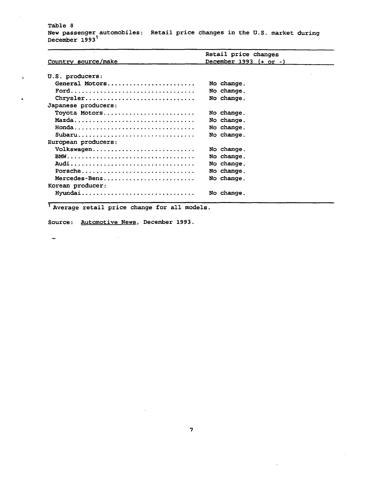$\overline{\phantom{a}}$ 

 $\hat{\mathbf{r}}$ 

 $\bullet$ 

New passenger automobiles: Retail price changes in the U.S. market during December 1993<sup>1</sup>

|                     | Retail price changes   |
|---------------------|------------------------|
| Country source/make | December 1993 (+ or -) |
|                     |                        |
| U.S. producers:     |                        |
| General Motors      | No change.             |
|                     | No change.             |
| Chrysler            | No change.             |
| Japanese producers: |                        |
| Toyota Motors       | No change.             |
| Mazda               | No change.             |
| Honda               | No change.             |
| $\texttt{Subaru}$   | No change.             |
| European producers: |                        |
| Volkswagen          | No change.             |
|                     | No change.             |
| Audi                | No change.             |
| Porsche             | No change.             |
| Mercedes-Benz       | No change.             |
| Korean producer:    |                        |
| Hyundai             | No change.             |

1 Average retail price change for all models.

Source: Automotive News, December 1993.

 $\sim$ 

7

 $\mathcal{L}$